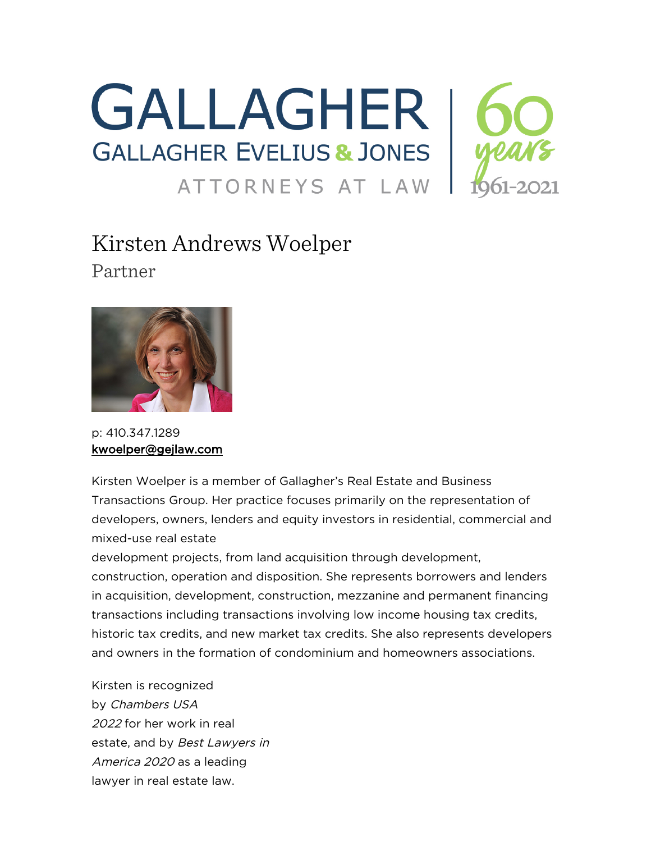

# Kirsten Andrews Woelper Partner



p: 410.347.1289 [kwoelper@gejlaw.com](mailto:kwoelper@gejlaw.com)

Kirsten Woelper is a member of Gallagher's Real Estate and Business Transactions Group. Her practice focuses primarily on the representation of developers, owners, lenders and equity investors in residential, commercial and mixed-use real estate

development projects, from land acquisition through development, construction, operation and disposition. She represents borrowers and lenders in acquisition, development, construction, mezzanine and permanent financing transactions including transactions involving low income housing tax credits, historic tax credits, and new market tax credits. She also represents developers and owners in the formation of condominium and homeowners associations.

Kirsten is recognized by Chambers USA 2022 for her work in real estate, and by Best Lawyers in America 2020 as a leading lawyer in real estate law.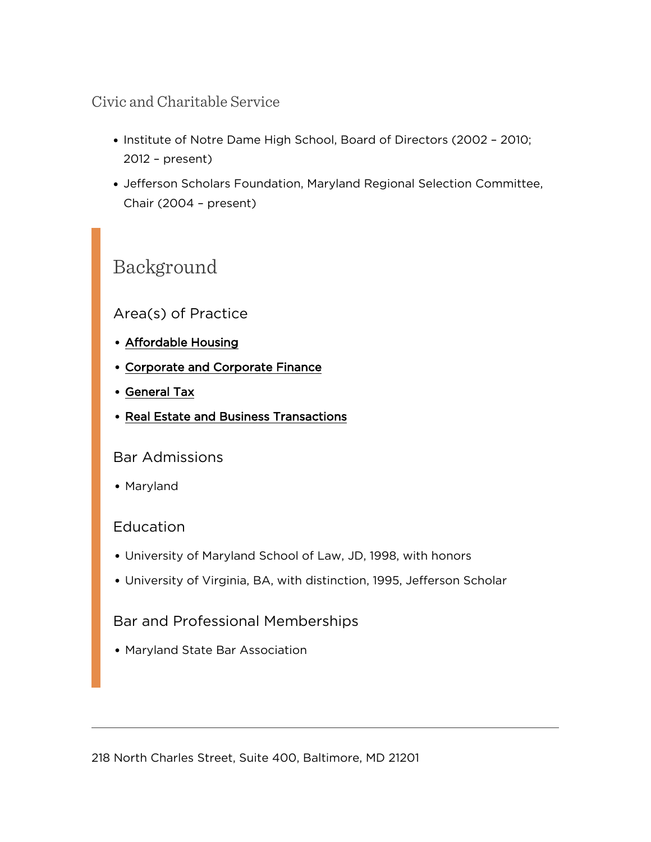### Civic and Charitable Service

- Institute of Notre Dame High School, Board of Directors (2002 2010; 2012 – present)
- Jefferson Scholars Foundation, Maryland Regional Selection Committee, Chair (2004 – present)

## Background

#### Area(s) of Practice

- [Affordable Housing](https://www.gejlaw.com/practices/affordable-housing/)
- [Corporate and Corporate Finance](https://www.gejlaw.com/practices/corporate-and-corporate-finance/)
- [General Tax](https://www.gejlaw.com/practices/general-tax/)
- [Real Estate and Business Transactions](https://www.gejlaw.com/practices/real-estate-and-business-transactions/)

#### Bar Admissions

Maryland

#### Education

- University of Maryland School of Law, JD, 1998, with honors
- University of Virginia, BA, with distinction, 1995, Jefferson Scholar

#### Bar and Professional Memberships

Maryland State Bar Association